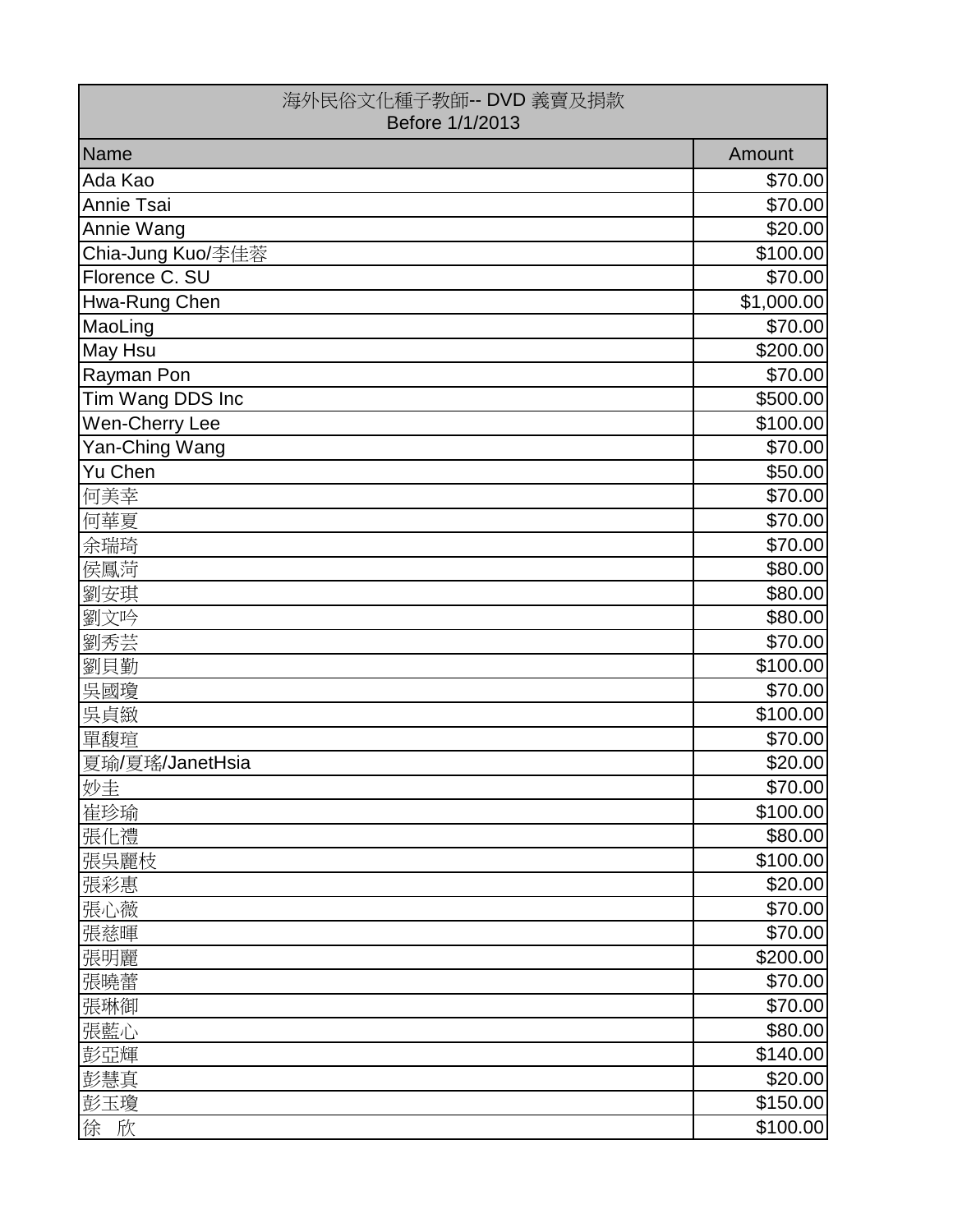| 海外民俗文化種子教師-- DVD 義賣及捐款<br>Before 1/1/2013 |            |
|-------------------------------------------|------------|
| Name                                      | Amount     |
| Ada Kao                                   | \$70.00    |
| Annie Tsai                                | \$70.00    |
| Annie Wang                                | \$20.00]   |
| Chia-Jung Kuo/李佳蓉                         | \$100.00]  |
| Florence C. SU                            | \$70.00    |
| Hwa-Rung Chen                             | \$1,000.00 |
| MaoLing                                   | \$70.00    |
| May Hsu                                   | \$200.00   |
| Rayman Pon                                | \$70.00    |
| Tim Wang DDS Inc                          | \$500.00]  |
| Wen-Cherry Lee                            | \$100.00]  |
| Yan-Ching Wang                            | \$70.00]   |
| Yu Chen                                   | \$50.00    |
| 何美幸                                       | \$70.00    |
| 何華夏                                       | \$70.00    |
| 余瑞琦                                       | \$70.00    |
| 侯鳳菏                                       | \$80.00    |
| 劉安琪                                       | \$80.00    |
| 劉文吟                                       | \$80.00    |
| 劉秀芸                                       | \$70.00    |
| 劉貝勤                                       | \$100.00]  |
| 吳國瓊                                       | \$70.00    |
| 吳貞緻                                       | \$100.00]  |
| 單馥瑄                                       | \$70.00    |
| 夏瑜/夏瑤/JanetHsia                           | \$20.00]   |
| 妙圭                                        | \$70.00    |
| 崔珍瑜                                       | \$100.00]  |
| 張化禮                                       | \$80.00    |
| 張吳麗枝                                      | \$100.00]  |
| 張彩惠                                       | \$20.00    |
| 張心薇                                       | \$70.00    |
| 張慈暉                                       | \$70.00    |
| 張明麗                                       | \$200.00   |
| 張曉蕾                                       | \$70.00    |
| 張琳御                                       | \$70.00    |
| 張藍心                                       | \$80.00    |
| 彭亞輝                                       | \$140.00   |
| 彭慧真                                       | \$20.00    |
| 彭玉瓊                                       | \$150.00   |
| 徐 欣                                       | \$100.00]  |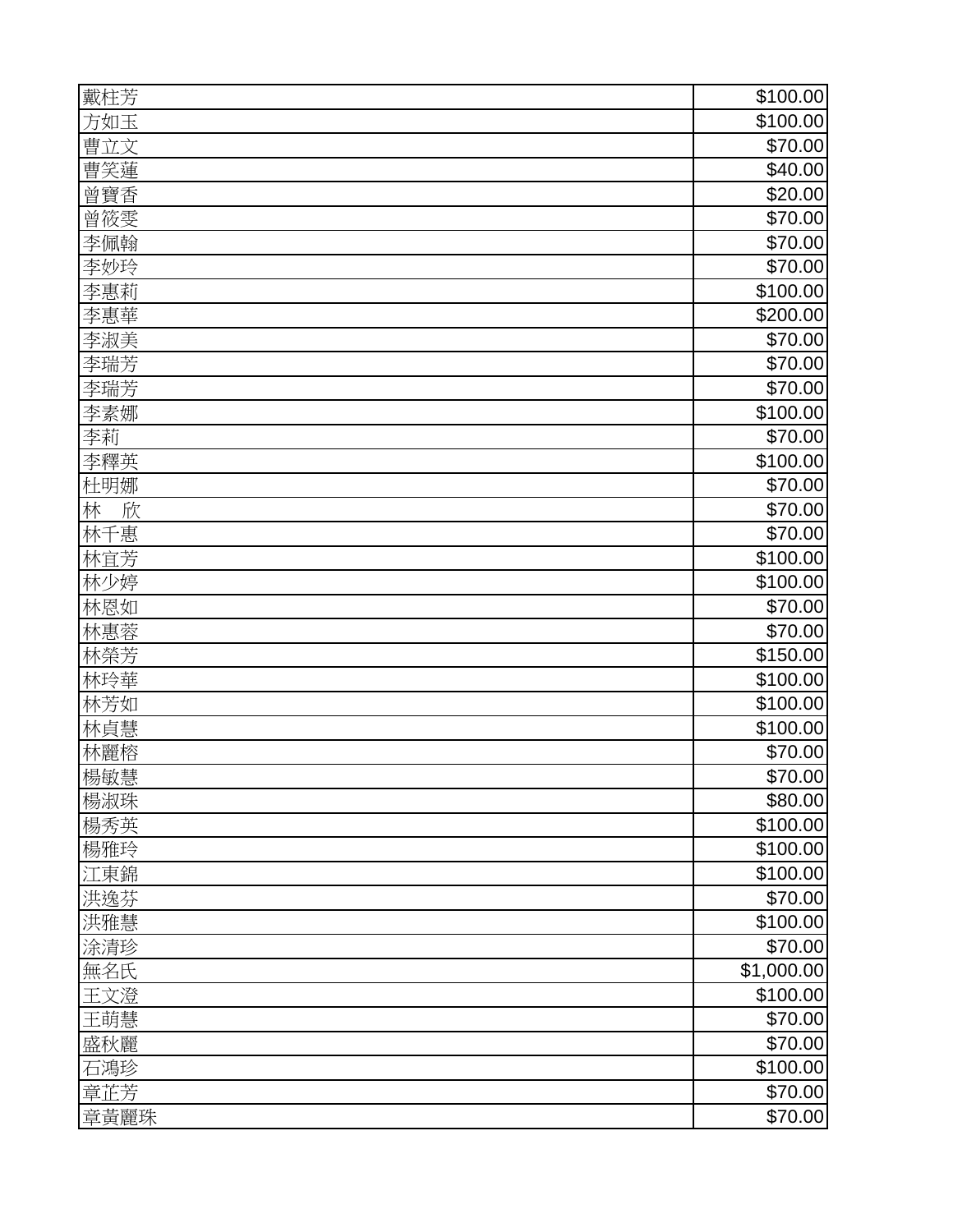| 戴柱芳    | \$100.00]  |
|--------|------------|
| 方如玉    | \$100.00]  |
| 曹立文    | \$70.00    |
| 曹笑蓮    | \$40.00    |
| 曾寶香    | \$20.00    |
| 曾筱雯    | \$70.00    |
| 李佩翰    | \$70.00    |
| 李妙玲    | \$70.00    |
| 李惠莉    | \$100.00]  |
| 李惠華    | \$200.00   |
| 李淑美    | \$70.00    |
| 李瑞芳    | \$70.00    |
| 李瑞芳    | \$70.00    |
| 李素娜    | \$100.00]  |
| 李莉     | \$70.00    |
| 李釋英    | \$100.00]  |
| 杜明娜    | \$70.00    |
| 林<br>欣 | \$70.00    |
| 林千惠    | \$70.00    |
| 林宜芳    | \$100.00   |
| 林少婷    | \$100.00   |
| 林恩如    | \$70.00    |
| 林惠蓉    | \$70.00    |
| 林榮芳    | \$150.00]  |
| 林玲華    | \$100.00   |
| 林芳如    | \$100.00]  |
| 林貞慧    | \$100.00]  |
| 林麗榕    | \$70.00    |
| 楊敏慧    | \$70.00    |
| 楊淑珠    | \$80.00    |
| 楊秀英    | \$100.00   |
| 楊雅玲    | \$100.00   |
| 江東錦    | \$100.00   |
| 洪逸芬    | \$70.00    |
| 洪雅慧    | \$100.00   |
| 涂清珍    | \$70.00    |
| 無名氏    | \$1,000.00 |
| 王文澄    | \$100.00   |
| 王萌慧    | \$70.00    |
| 盛秋麗    | \$70.00    |
| 石鴻珍    | \$100.00   |
| 章芷芳    | \$70.00    |
| 章黃麗珠   | \$70.00    |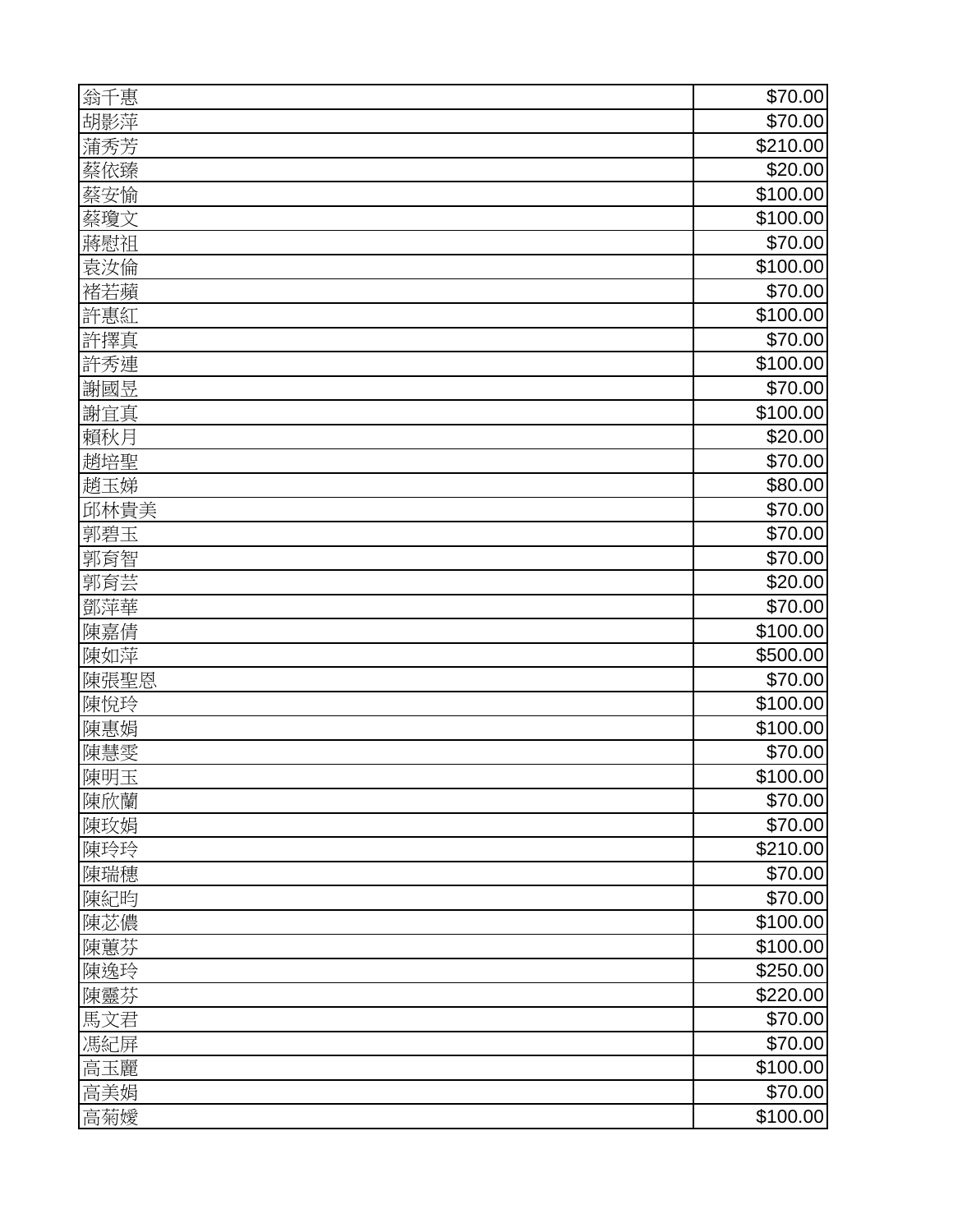| 翁千惠  | \$70.00   |
|------|-----------|
| 胡影萍  | \$70.00   |
| 蒲秀芳  | \$210.00  |
| 蔡依臻  | \$20.00   |
| 蔡安愉  | \$100.00] |
| 蔡瓊文  | \$100.00  |
| 蔣慰祖  | \$70.00   |
| 袁汝倫  | \$100.00] |
| 褚若蘋  | \$70.00   |
| 許惠紅  | \$100.00  |
| 許擇真  | \$70.00   |
| 許秀連  | \$100.00] |
| 謝國昱  | \$70.00   |
| 謝宜真  | \$100.00] |
| 賴秋月  | \$20.00   |
| 趙培聖  | \$70.00   |
| 趙玉娣  | \$80.00   |
| 邱林貴美 | \$70.00   |
| 郭碧玉  | \$70.00   |
| 郭育智  | \$70.00   |
| 郭育芸  | \$20.00   |
| 鄧萍華  | \$70.00   |
| 陳嘉倩  | \$100.00  |
| 陳如萍  | \$500.00  |
| 陳張聖恩 | \$70.00   |
| 陳悅玲  | \$100.00  |
| 陳惠娟  | \$100.00] |
| 陳慧雯  | \$70.00   |
| 陳明玉  | \$100.00] |
| 陳欣蘭  | \$70.00   |
| 陳玫娟  | \$70.00   |
| 陳玲玲  | \$210.00  |
| 陳瑞穗  | \$70.00   |
| 陳紀昀  | \$70.00   |
| 陳苾儂  | \$100.00  |
| 陳蕙芬  | \$100.00] |
| 陳逸玲  | \$250.00  |
| 陳靈芬  | \$220.00  |
| 馬文君  | \$70.00   |
| 馮紀屏  | \$70.00   |
| 高玉麗  | \$100.00  |
| 高美娟  | \$70.00   |
| 高菊嬡  | \$100.00] |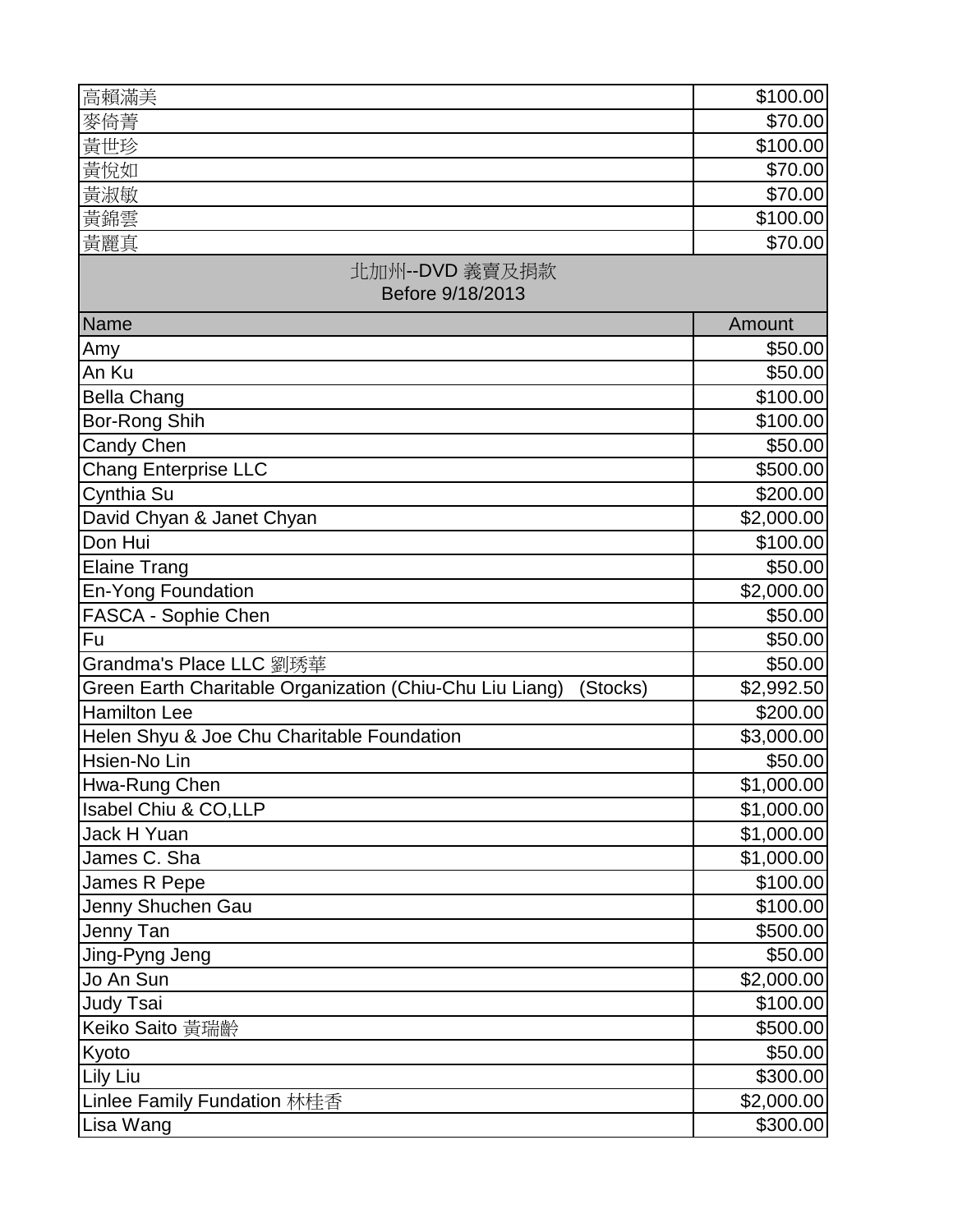| 高賴滿美                                                                 | \$100.00   |
|----------------------------------------------------------------------|------------|
| 麥倚菁                                                                  | \$70.00    |
| 黃世珍                                                                  | \$100.00   |
| 黃悅如                                                                  | \$70.00    |
| 黃淑敏                                                                  | \$70.00    |
| 黃錦雲                                                                  | \$100.00   |
| 黃麗真                                                                  | \$70.00    |
| 北加州--DVD 義賣及捐款<br>Before 9/18/2013                                   |            |
| Name                                                                 | Amount     |
| Amy                                                                  | \$50.00    |
| An Ku                                                                | \$50.00    |
| <b>Bella Chang</b>                                                   | \$100.00   |
| Bor-Rong Shih                                                        | \$100.00   |
| Candy Chen                                                           | \$50.00    |
| <b>Chang Enterprise LLC</b>                                          | \$500.00   |
| Cynthia Su                                                           | \$200.00   |
| David Chyan & Janet Chyan                                            | \$2,000.00 |
| Don Hui                                                              | \$100.00   |
| <b>Elaine Trang</b>                                                  | \$50.00    |
| <b>En-Yong Foundation</b>                                            | \$2,000.00 |
| FASCA - Sophie Chen                                                  | \$50.00    |
| Fu                                                                   | \$50.00    |
| Grandma's Place LLC 劉琇華                                              | \$50.00    |
| Green Earth Charitable Organization (Chiu-Chu Liu Liang)<br>(Stocks) | \$2,992.50 |
| <b>Hamilton Lee</b>                                                  | \$200.00   |
| Helen Shyu & Joe Chu Charitable Foundation                           | \$3,000.00 |
| Hsien-No Lin                                                         | \$50.00    |
| Hwa-Rung Chen                                                        | \$1,000.00 |
| Isabel Chiu & CO,LLP                                                 | \$1,000.00 |
| <b>Jack H Yuan</b>                                                   | \$1,000.00 |
| James C. Sha                                                         | \$1,000.00 |
| James R Pepe                                                         | \$100.00]  |
| Jenny Shuchen Gau                                                    | \$100.00]  |
| Jenny Tan                                                            | \$500.00   |
| Jing-Pyng Jeng                                                       | \$50.00    |
| Jo An Sun                                                            | \$2,000.00 |
| Judy Tsai                                                            | \$100.00   |
| Keiko Saito 黃瑞齡                                                      | \$500.00   |
| Kyoto                                                                | \$50.00    |
| Lily Liu                                                             | \$300.00   |
| Linlee Family Fundation 林桂香                                          | \$2,000.00 |
| Lisa Wang                                                            | \$300.00   |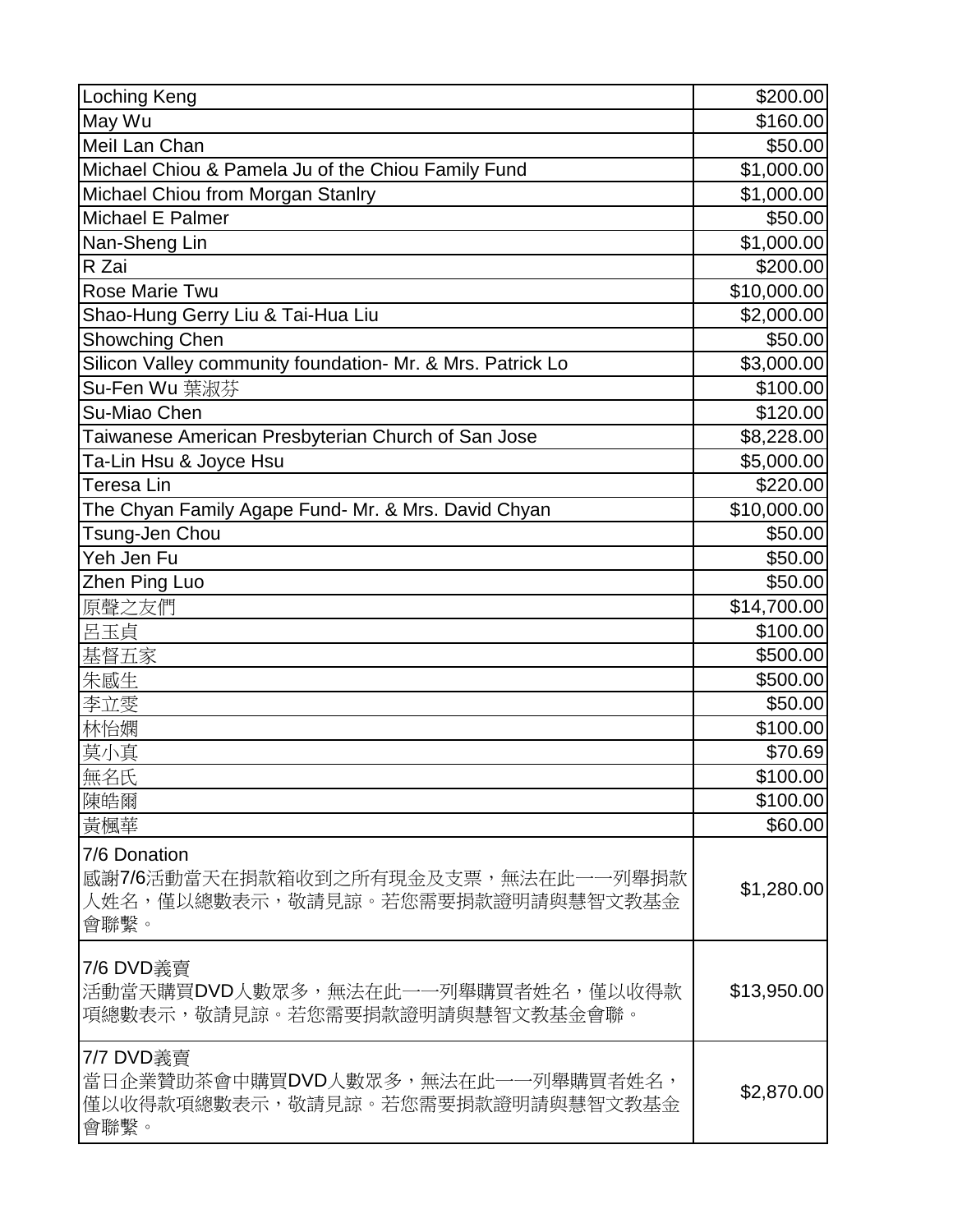| <b>Loching Keng</b>                                                                            | \$200.00    |
|------------------------------------------------------------------------------------------------|-------------|
| May Wu                                                                                         | \$160.00    |
| Meil Lan Chan                                                                                  | \$50.00     |
| Michael Chiou & Pamela Ju of the Chiou Family Fund                                             | \$1,000.00  |
| Michael Chiou from Morgan Stanlry                                                              | \$1,000.00  |
| Michael E Palmer                                                                               | \$50.00     |
| Nan-Sheng Lin                                                                                  | \$1,000.00  |
| R Zai                                                                                          | \$200.00    |
| Rose Marie Twu                                                                                 | \$10,000.00 |
| Shao-Hung Gerry Liu & Tai-Hua Liu                                                              | \$2,000.00  |
| <b>Showching Chen</b>                                                                          | \$50.00     |
| Silicon Valley community foundation- Mr. & Mrs. Patrick Lo                                     | \$3,000.00  |
| Su-Fen Wu 葉淑芬                                                                                  | \$100.00    |
| Su-Miao Chen                                                                                   | \$120.00    |
| Taiwanese American Presbyterian Church of San Jose                                             | \$8,228.00  |
| Ta-Lin Hsu & Joyce Hsu                                                                         | \$5,000.00  |
| <b>Teresa Lin</b>                                                                              | \$220.00    |
| The Chyan Family Agape Fund- Mr. & Mrs. David Chyan                                            | \$10,000.00 |
| Tsung-Jen Chou                                                                                 | \$50.00     |
| Yeh Jen Fu                                                                                     | \$50.00     |
| Zhen Ping Luo                                                                                  | \$50.00     |
| 原聲之友們                                                                                          | \$14,700.00 |
| 呂玉貞                                                                                            | \$100.00    |
| 基督五家                                                                                           | \$500.00    |
| 朱感生                                                                                            | \$500.00    |
| 李立雯                                                                                            | \$50.00     |
| 林怡嫻                                                                                            | \$100.00    |
| 莫小真                                                                                            | \$70.69     |
| 無名氏                                                                                            | \$100.00    |
| 陳皓爾                                                                                            | \$100.00    |
| 黃楓華                                                                                            | \$60.00     |
| 7/6 Donation<br>感謝7/6活動當天在捐款箱收到之所有現金及支票,無法在此一一列舉捐款<br>人姓名,僅以總數表示,敬請見諒。若您需要捐款證明請與慧智文教基金<br>會聯繫。 | \$1,280.00  |
| 7/6 DVD義賣<br>活動當天購買DVD人數眾多,無法在此一一列舉購買者姓名,僅以收得款<br>項總數表示,敬請見諒。若您需要捐款證明請與慧智文教基金會聯。               | \$13,950.00 |
| 7/7 DVD義賣<br>當日企業贊助茶會中購買DVD人數眾多,無法在此一一列舉購買者姓名,<br>僅以收得款項總數表示,敬請見諒。若您需要捐款證明請與慧智文教基金<br>會聯繫。     | \$2,870.00  |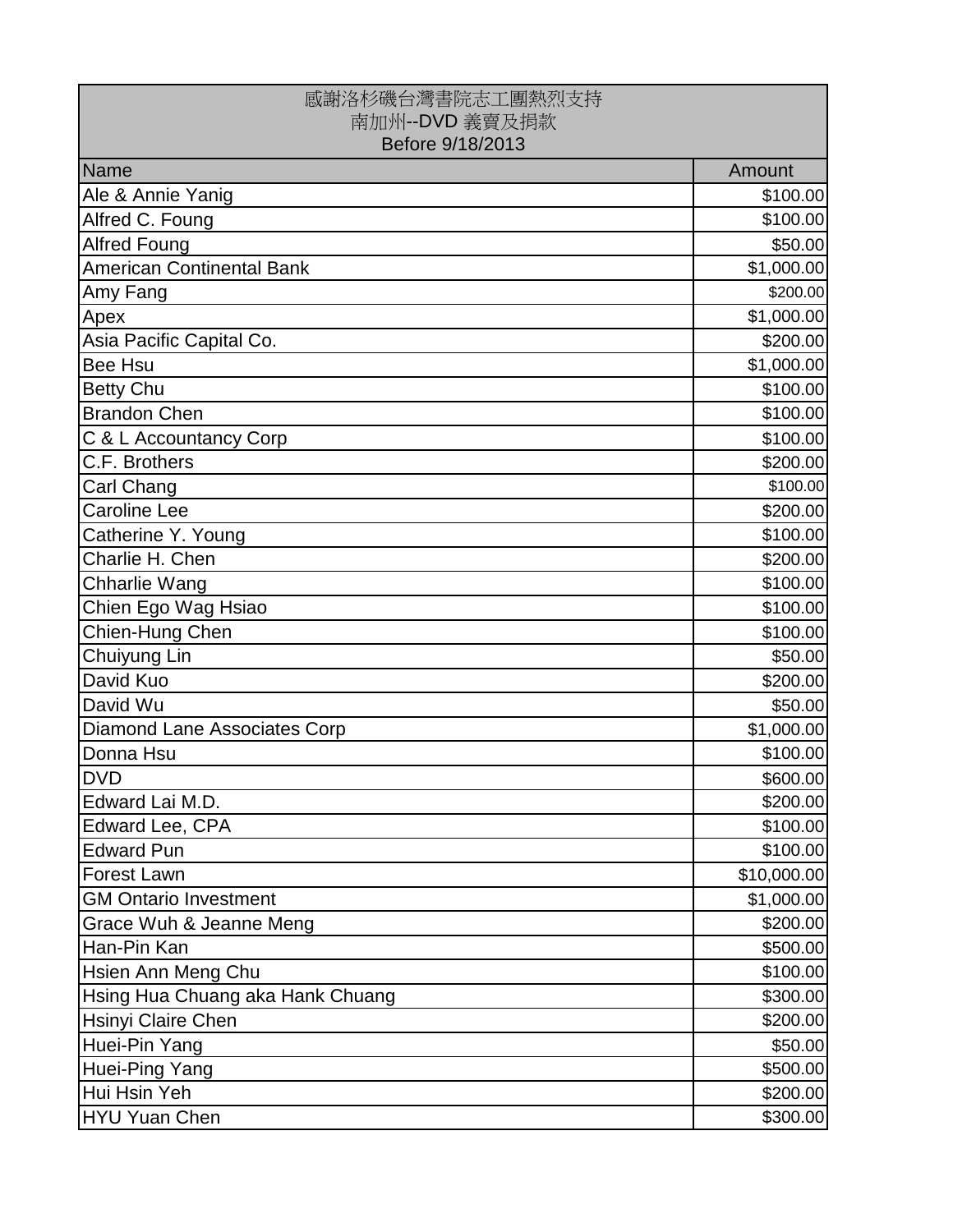| 感謝洛杉磯台灣書院志工團熱烈支持<br>南加州--DVD 義賣及捐款<br>Before 9/18/2013 |             |
|--------------------------------------------------------|-------------|
| Name                                                   | Amount      |
| Ale & Annie Yanig                                      | \$100.00    |
| Alfred C. Foung                                        | \$100.00    |
| <b>Alfred Foung</b>                                    | \$50.00     |
| American Continental Bank                              | \$1,000.00  |
| Amy Fang                                               | \$200.00    |
| Apex                                                   | \$1,000.00  |
| Asia Pacific Capital Co.                               | \$200.00    |
| <b>Bee Hsu</b>                                         | \$1,000.00  |
| <b>Betty Chu</b>                                       | \$100.00    |
| <b>Brandon Chen</b>                                    | \$100.00    |
| C & L Accountancy Corp                                 | \$100.00    |
| C.F. Brothers                                          | \$200.00    |
| <b>Carl Chang</b>                                      | \$100.00    |
| <b>Caroline Lee</b>                                    | \$200.00    |
| Catherine Y. Young                                     | \$100.00    |
| Charlie H. Chen                                        | \$200.00    |
| <b>Chharlie Wang</b>                                   | \$100.00    |
| Chien Ego Wag Hsiao                                    | \$100.00    |
| Chien-Hung Chen                                        | \$100.00    |
| Chuiyung Lin                                           | \$50.00     |
| David Kuo                                              | \$200.00    |
| David Wu                                               | \$50.00     |
| Diamond Lane Associates Corp                           | \$1,000.00  |
| Donna Hsu                                              | \$100.00    |
| <b>DVD</b>                                             | \$600.00    |
| Edward Lai M.D.                                        | \$200.00]   |
| Edward Lee, CPA                                        | \$100.00]   |
| <b>Edward Pun</b>                                      | \$100.00    |
| <b>Forest Lawn</b>                                     | \$10,000.00 |
| <b>GM Ontario Investment</b>                           | \$1,000.00  |
| Grace Wuh & Jeanne Meng                                | \$200.00]   |
| Han-Pin Kan                                            | \$500.00    |
| <b>Hsien Ann Meng Chu</b>                              | \$100.00]   |
| Hsing Hua Chuang aka Hank Chuang                       | \$300.00    |
| <b>Hsinyi Claire Chen</b>                              | \$200.00    |
| Huei-Pin Yang                                          | \$50.00     |
| Huei-Ping Yang                                         | \$500.00    |
| Hui Hsin Yeh                                           | \$200.00]   |
| HYU Yuan Chen                                          | \$300.00    |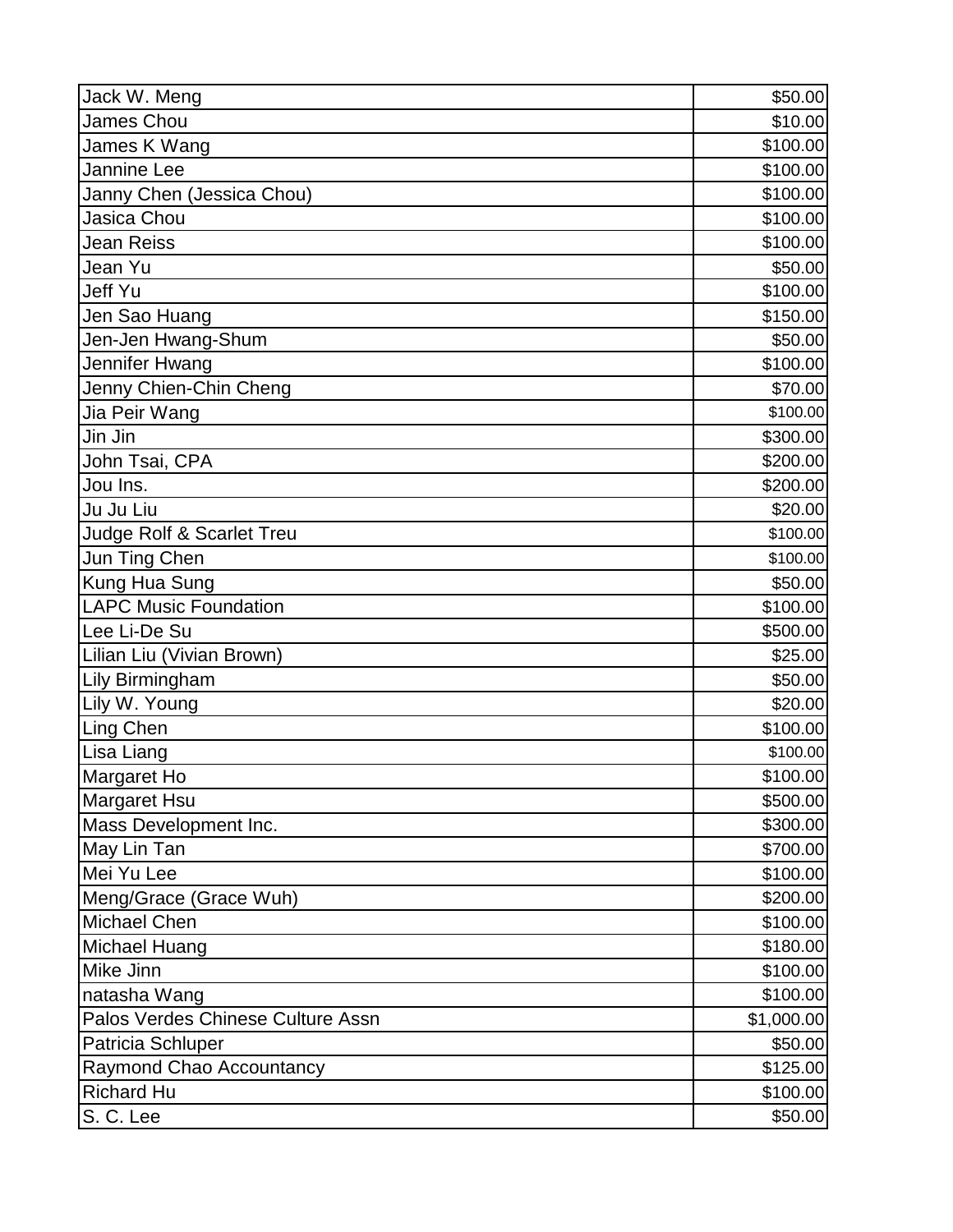| Jack W. Meng                      | \$50.00    |
|-----------------------------------|------------|
| <b>James Chou</b>                 | \$10.00    |
| James K Wang                      | \$100.00   |
| Jannine Lee                       | \$100.00   |
| Janny Chen (Jessica Chou)         | \$100.00   |
| Jasica Chou                       | \$100.00   |
| Jean Reiss                        | \$100.00   |
| Jean Yu                           | \$50.00    |
| Jeff Yu                           | \$100.00   |
| Jen Sao Huang                     | \$150.00   |
| Jen-Jen Hwang-Shum                | \$50.00    |
| Jennifer Hwang                    | \$100.00   |
| Jenny Chien-Chin Cheng            | \$70.00    |
| Jia Peir Wang                     | \$100.00   |
| Jin Jin                           | \$300.00   |
| John Tsai, CPA                    | \$200.00   |
| Jou Ins.                          | \$200.00   |
| Ju Ju Liu                         | \$20.00    |
| Judge Rolf & Scarlet Treu         | \$100.00   |
| Jun Ting Chen                     | \$100.00   |
| <b>Kung Hua Sung</b>              | \$50.00    |
| <b>LAPC Music Foundation</b>      | \$100.00   |
| Lee Li-De Su                      | \$500.00   |
| Lilian Liu (Vivian Brown)         | \$25.00    |
| <b>Lily Birmingham</b>            | \$50.00    |
| Lily W. Young                     | \$20.00    |
| Ling Chen                         | \$100.00   |
| Lisa Liang                        | \$100.00   |
| Margaret Ho                       | \$100.00   |
| Margaret Hsu                      | \$500.00   |
| Mass Development Inc.             | \$300.00   |
| May Lin Tan                       | \$700.00   |
| Mei Yu Lee                        | \$100.00   |
| Meng/Grace (Grace Wuh)            | \$200.00   |
| Michael Chen                      | \$100.00   |
| Michael Huang                     | \$180.00   |
| Mike Jinn                         | \$100.00   |
| natasha Wang                      | \$100.00   |
| Palos Verdes Chinese Culture Assn | \$1,000.00 |
| Patricia Schluper                 | \$50.00    |
| Raymond Chao Accountancy          | \$125.00   |
| <b>Richard Hu</b>                 | \$100.00   |
| S. C. Lee                         | \$50.00    |